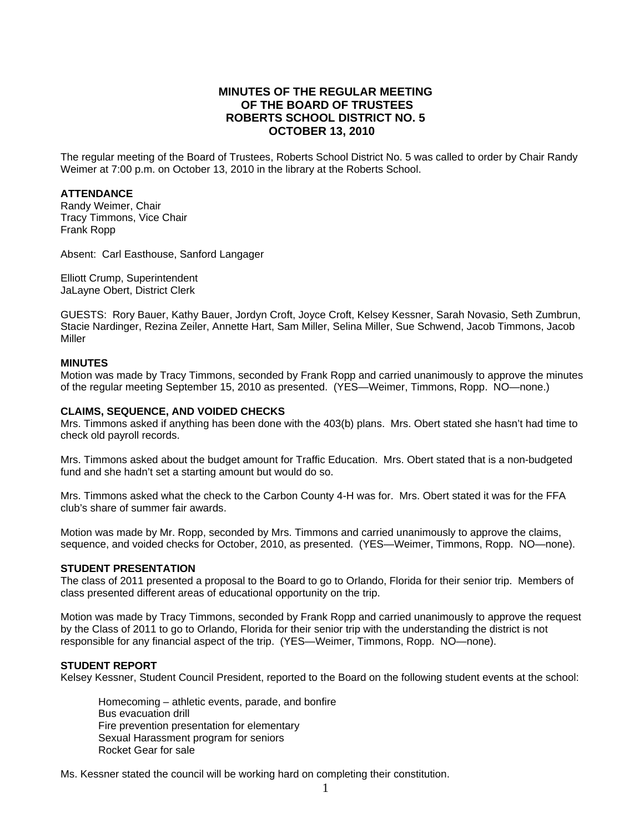# **MINUTES OF THE REGULAR MEETING OF THE BOARD OF TRUSTEES ROBERTS SCHOOL DISTRICT NO. 5 OCTOBER 13, 2010**

The regular meeting of the Board of Trustees, Roberts School District No. 5 was called to order by Chair Randy Weimer at 7:00 p.m. on October 13, 2010 in the library at the Roberts School.

### **ATTENDANCE**

Randy Weimer, Chair Tracy Timmons, Vice Chair Frank Ropp

Absent: Carl Easthouse, Sanford Langager

Elliott Crump, Superintendent JaLayne Obert, District Clerk

GUESTS: Rory Bauer, Kathy Bauer, Jordyn Croft, Joyce Croft, Kelsey Kessner, Sarah Novasio, Seth Zumbrun, Stacie Nardinger, Rezina Zeiler, Annette Hart, Sam Miller, Selina Miller, Sue Schwend, Jacob Timmons, Jacob Miller

#### **MINUTES**

Motion was made by Tracy Timmons, seconded by Frank Ropp and carried unanimously to approve the minutes of the regular meeting September 15, 2010 as presented. (YES—Weimer, Timmons, Ropp. NO—none.)

#### **CLAIMS, SEQUENCE, AND VOIDED CHECKS**

Mrs. Timmons asked if anything has been done with the 403(b) plans. Mrs. Obert stated she hasn't had time to check old payroll records.

Mrs. Timmons asked about the budget amount for Traffic Education. Mrs. Obert stated that is a non-budgeted fund and she hadn't set a starting amount but would do so.

Mrs. Timmons asked what the check to the Carbon County 4-H was for. Mrs. Obert stated it was for the FFA club's share of summer fair awards.

Motion was made by Mr. Ropp, seconded by Mrs. Timmons and carried unanimously to approve the claims, sequence, and voided checks for October, 2010, as presented. (YES—Weimer, Timmons, Ropp. NO—none).

#### **STUDENT PRESENTATION**

The class of 2011 presented a proposal to the Board to go to Orlando, Florida for their senior trip. Members of class presented different areas of educational opportunity on the trip.

Motion was made by Tracy Timmons, seconded by Frank Ropp and carried unanimously to approve the request by the Class of 2011 to go to Orlando, Florida for their senior trip with the understanding the district is not responsible for any financial aspect of the trip. (YES—Weimer, Timmons, Ropp. NO—none).

#### **STUDENT REPORT**

Kelsey Kessner, Student Council President, reported to the Board on the following student events at the school:

 Homecoming – athletic events, parade, and bonfire Bus evacuation drill Fire prevention presentation for elementary Sexual Harassment program for seniors Rocket Gear for sale

Ms. Kessner stated the council will be working hard on completing their constitution.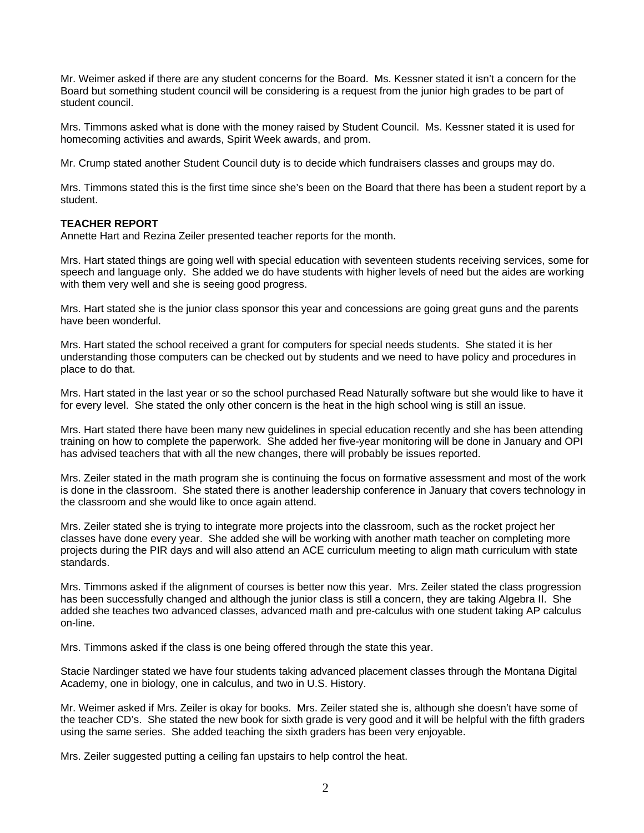Mr. Weimer asked if there are any student concerns for the Board. Ms. Kessner stated it isn't a concern for the Board but something student council will be considering is a request from the junior high grades to be part of student council.

Mrs. Timmons asked what is done with the money raised by Student Council. Ms. Kessner stated it is used for homecoming activities and awards, Spirit Week awards, and prom.

Mr. Crump stated another Student Council duty is to decide which fundraisers classes and groups may do.

Mrs. Timmons stated this is the first time since she's been on the Board that there has been a student report by a student.

#### **TEACHER REPORT**

Annette Hart and Rezina Zeiler presented teacher reports for the month.

Mrs. Hart stated things are going well with special education with seventeen students receiving services, some for speech and language only. She added we do have students with higher levels of need but the aides are working with them very well and she is seeing good progress.

Mrs. Hart stated she is the junior class sponsor this year and concessions are going great guns and the parents have been wonderful.

Mrs. Hart stated the school received a grant for computers for special needs students. She stated it is her understanding those computers can be checked out by students and we need to have policy and procedures in place to do that.

Mrs. Hart stated in the last year or so the school purchased Read Naturally software but she would like to have it for every level. She stated the only other concern is the heat in the high school wing is still an issue.

Mrs. Hart stated there have been many new guidelines in special education recently and she has been attending training on how to complete the paperwork. She added her five-year monitoring will be done in January and OPI has advised teachers that with all the new changes, there will probably be issues reported.

Mrs. Zeiler stated in the math program she is continuing the focus on formative assessment and most of the work is done in the classroom. She stated there is another leadership conference in January that covers technology in the classroom and she would like to once again attend.

Mrs. Zeiler stated she is trying to integrate more projects into the classroom, such as the rocket project her classes have done every year. She added she will be working with another math teacher on completing more projects during the PIR days and will also attend an ACE curriculum meeting to align math curriculum with state standards.

Mrs. Timmons asked if the alignment of courses is better now this year. Mrs. Zeiler stated the class progression has been successfully changed and although the junior class is still a concern, they are taking Algebra II. She added she teaches two advanced classes, advanced math and pre-calculus with one student taking AP calculus on-line.

Mrs. Timmons asked if the class is one being offered through the state this year.

Stacie Nardinger stated we have four students taking advanced placement classes through the Montana Digital Academy, one in biology, one in calculus, and two in U.S. History.

Mr. Weimer asked if Mrs. Zeiler is okay for books. Mrs. Zeiler stated she is, although she doesn't have some of the teacher CD's. She stated the new book for sixth grade is very good and it will be helpful with the fifth graders using the same series. She added teaching the sixth graders has been very enjoyable.

Mrs. Zeiler suggested putting a ceiling fan upstairs to help control the heat.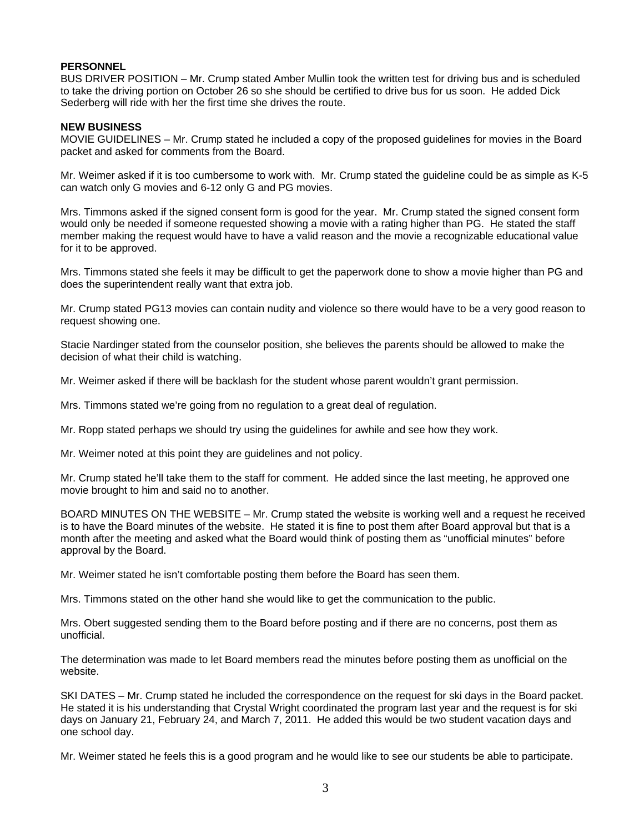# **PERSONNEL**

BUS DRIVER POSITION – Mr. Crump stated Amber Mullin took the written test for driving bus and is scheduled to take the driving portion on October 26 so she should be certified to drive bus for us soon. He added Dick Sederberg will ride with her the first time she drives the route.

# **NEW BUSINESS**

MOVIE GUIDELINES – Mr. Crump stated he included a copy of the proposed guidelines for movies in the Board packet and asked for comments from the Board.

Mr. Weimer asked if it is too cumbersome to work with. Mr. Crump stated the guideline could be as simple as K-5 can watch only G movies and 6-12 only G and PG movies.

Mrs. Timmons asked if the signed consent form is good for the year. Mr. Crump stated the signed consent form would only be needed if someone requested showing a movie with a rating higher than PG. He stated the staff member making the request would have to have a valid reason and the movie a recognizable educational value for it to be approved.

Mrs. Timmons stated she feels it may be difficult to get the paperwork done to show a movie higher than PG and does the superintendent really want that extra job.

Mr. Crump stated PG13 movies can contain nudity and violence so there would have to be a very good reason to request showing one.

Stacie Nardinger stated from the counselor position, she believes the parents should be allowed to make the decision of what their child is watching.

Mr. Weimer asked if there will be backlash for the student whose parent wouldn't grant permission.

Mrs. Timmons stated we're going from no regulation to a great deal of regulation.

Mr. Ropp stated perhaps we should try using the guidelines for awhile and see how they work.

Mr. Weimer noted at this point they are guidelines and not policy.

Mr. Crump stated he'll take them to the staff for comment. He added since the last meeting, he approved one movie brought to him and said no to another.

BOARD MINUTES ON THE WEBSITE – Mr. Crump stated the website is working well and a request he received is to have the Board minutes of the website. He stated it is fine to post them after Board approval but that is a month after the meeting and asked what the Board would think of posting them as "unofficial minutes" before approval by the Board.

Mr. Weimer stated he isn't comfortable posting them before the Board has seen them.

Mrs. Timmons stated on the other hand she would like to get the communication to the public.

Mrs. Obert suggested sending them to the Board before posting and if there are no concerns, post them as unofficial.

The determination was made to let Board members read the minutes before posting them as unofficial on the website.

SKI DATES – Mr. Crump stated he included the correspondence on the request for ski days in the Board packet. He stated it is his understanding that Crystal Wright coordinated the program last year and the request is for ski days on January 21, February 24, and March 7, 2011. He added this would be two student vacation days and one school day.

Mr. Weimer stated he feels this is a good program and he would like to see our students be able to participate.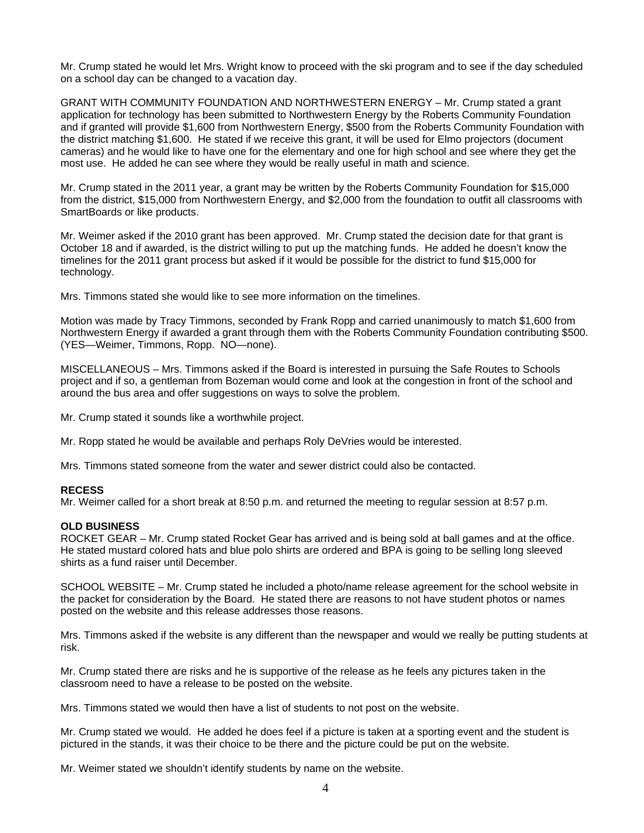Mr. Crump stated he would let Mrs. Wright know to proceed with the ski program and to see if the day scheduled on a school day can be changed to a vacation day.

GRANT WITH COMMUNITY FOUNDATION AND NORTHWESTERN ENERGY – Mr. Crump stated a grant application for technology has been submitted to Northwestern Energy by the Roberts Community Foundation and if granted will provide \$1,600 from Northwestern Energy, \$500 from the Roberts Community Foundation with the district matching \$1,600. He stated if we receive this grant, it will be used for Elmo projectors (document cameras) and he would like to have one for the elementary and one for high school and see where they get the most use. He added he can see where they would be really useful in math and science.

Mr. Crump stated in the 2011 year, a grant may be written by the Roberts Community Foundation for \$15,000 from the district, \$15,000 from Northwestern Energy, and \$2,000 from the foundation to outfit all classrooms with SmartBoards or like products.

Mr. Weimer asked if the 2010 grant has been approved. Mr. Crump stated the decision date for that grant is October 18 and if awarded, is the district willing to put up the matching funds. He added he doesn't know the timelines for the 2011 grant process but asked if it would be possible for the district to fund \$15,000 for technology.

Mrs. Timmons stated she would like to see more information on the timelines.

Motion was made by Tracy Timmons, seconded by Frank Ropp and carried unanimously to match \$1,600 from Northwestern Energy if awarded a grant through them with the Roberts Community Foundation contributing \$500. (YES—Weimer, Timmons, Ropp. NO—none).

MISCELLANEOUS – Mrs. Timmons asked if the Board is interested in pursuing the Safe Routes to Schools project and if so, a gentleman from Bozeman would come and look at the congestion in front of the school and around the bus area and offer suggestions on ways to solve the problem.

Mr. Crump stated it sounds like a worthwhile project.

Mr. Ropp stated he would be available and perhaps Roly DeVries would be interested.

Mrs. Timmons stated someone from the water and sewer district could also be contacted.

## **RECESS**

Mr. Weimer called for a short break at 8:50 p.m. and returned the meeting to regular session at 8:57 p.m.

## **OLD BUSINESS**

ROCKET GEAR – Mr. Crump stated Rocket Gear has arrived and is being sold at ball games and at the office. He stated mustard colored hats and blue polo shirts are ordered and BPA is going to be selling long sleeved shirts as a fund raiser until December.

SCHOOL WEBSITE – Mr. Crump stated he included a photo/name release agreement for the school website in the packet for consideration by the Board. He stated there are reasons to not have student photos or names posted on the website and this release addresses those reasons.

Mrs. Timmons asked if the website is any different than the newspaper and would we really be putting students at risk.

Mr. Crump stated there are risks and he is supportive of the release as he feels any pictures taken in the classroom need to have a release to be posted on the website.

Mrs. Timmons stated we would then have a list of students to not post on the website.

Mr. Crump stated we would. He added he does feel if a picture is taken at a sporting event and the student is pictured in the stands, it was their choice to be there and the picture could be put on the website.

Mr. Weimer stated we shouldn't identify students by name on the website.